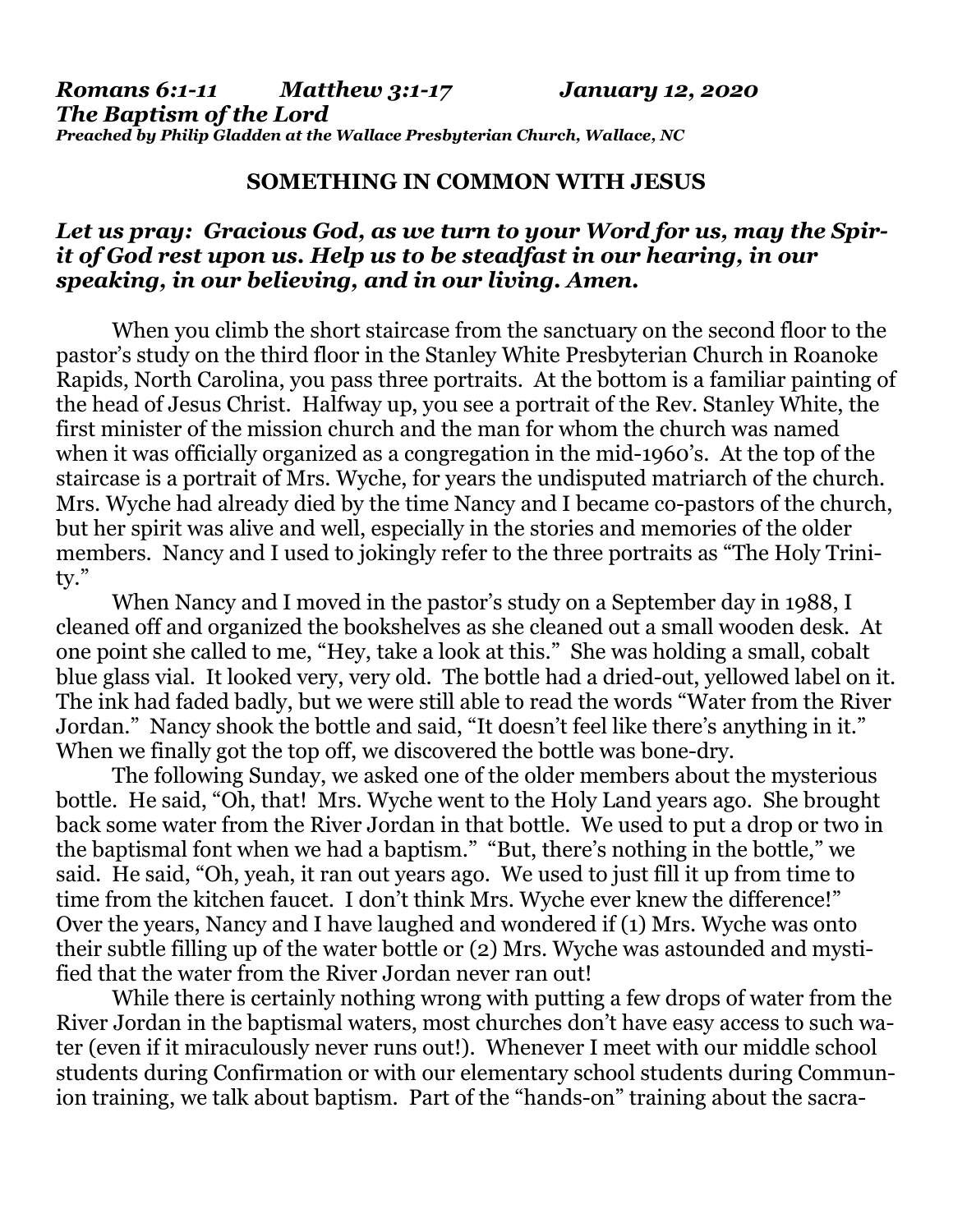*Romans 6:1-11 Matthew 3:1-17 January 12, 2020 The Baptism of the Lord Preached by Philip Gladden at the Wallace Presbyterian Church, Wallace, NC*

## **SOMETHING IN COMMON WITH JESUS**

## *Let us pray: Gracious God, as we turn to your Word for us, may the Spirit of God rest upon us. Help us to be steadfast in our hearing, in our speaking, in our believing, and in our living. Amen.*

When you climb the short staircase from the sanctuary on the second floor to the pastor's study on the third floor in the Stanley White Presbyterian Church in Roanoke Rapids, North Carolina, you pass three portraits. At the bottom is a familiar painting of the head of Jesus Christ. Halfway up, you see a portrait of the Rev. Stanley White, the first minister of the mission church and the man for whom the church was named when it was officially organized as a congregation in the mid-1960's. At the top of the staircase is a portrait of Mrs. Wyche, for years the undisputed matriarch of the church. Mrs. Wyche had already died by the time Nancy and I became co-pastors of the church, but her spirit was alive and well, especially in the stories and memories of the older members. Nancy and I used to jokingly refer to the three portraits as "The Holy Trinity."

When Nancy and I moved in the pastor's study on a September day in 1988, I cleaned off and organized the bookshelves as she cleaned out a small wooden desk. At one point she called to me, "Hey, take a look at this." She was holding a small, cobalt blue glass vial. It looked very, very old. The bottle had a dried-out, yellowed label on it. The ink had faded badly, but we were still able to read the words "Water from the River Jordan." Nancy shook the bottle and said, "It doesn't feel like there's anything in it." When we finally got the top off, we discovered the bottle was bone-dry.

The following Sunday, we asked one of the older members about the mysterious bottle. He said, "Oh, that! Mrs. Wyche went to the Holy Land years ago. She brought back some water from the River Jordan in that bottle. We used to put a drop or two in the baptismal font when we had a baptism." "But, there's nothing in the bottle," we said. He said, "Oh, yeah, it ran out years ago. We used to just fill it up from time to time from the kitchen faucet. I don't think Mrs. Wyche ever knew the difference!" Over the years, Nancy and I have laughed and wondered if (1) Mrs. Wyche was onto their subtle filling up of the water bottle or (2) Mrs. Wyche was astounded and mystified that the water from the River Jordan never ran out!

While there is certainly nothing wrong with putting a few drops of water from the River Jordan in the baptismal waters, most churches don't have easy access to such water (even if it miraculously never runs out!). Whenever I meet with our middle school students during Confirmation or with our elementary school students during Communion training, we talk about baptism. Part of the "hands-on" training about the sacra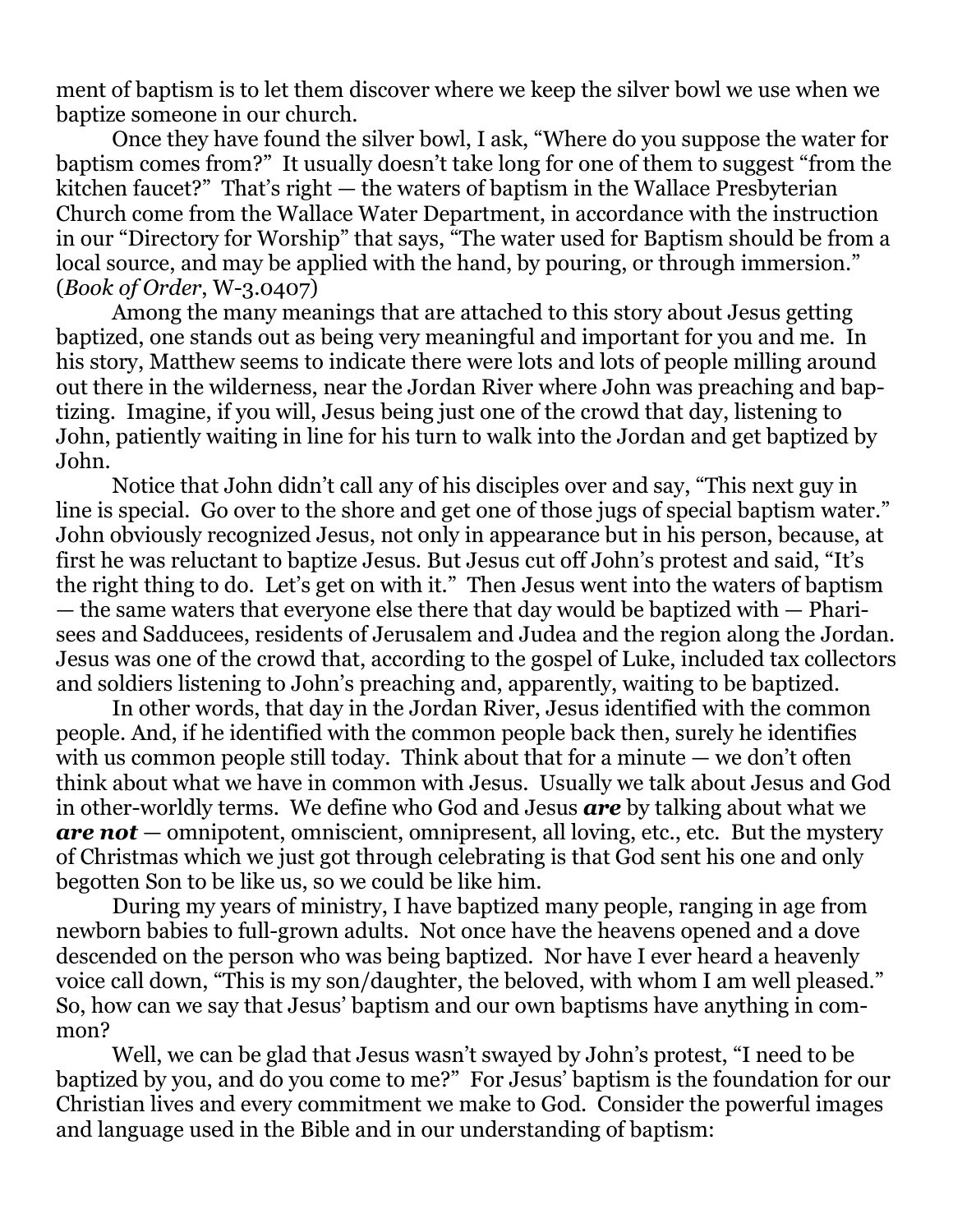ment of baptism is to let them discover where we keep the silver bowl we use when we baptize someone in our church.

Once they have found the silver bowl, I ask, "Where do you suppose the water for baptism comes from?" It usually doesn't take long for one of them to suggest "from the kitchen faucet?" That's right — the waters of baptism in the Wallace Presbyterian Church come from the Wallace Water Department, in accordance with the instruction in our "Directory for Worship" that says, "The water used for Baptism should be from a local source, and may be applied with the hand, by pouring, or through immersion." (*Book of Order*, W-3.0407)

Among the many meanings that are attached to this story about Jesus getting baptized, one stands out as being very meaningful and important for you and me. In his story, Matthew seems to indicate there were lots and lots of people milling around out there in the wilderness, near the Jordan River where John was preaching and baptizing. Imagine, if you will, Jesus being just one of the crowd that day, listening to John, patiently waiting in line for his turn to walk into the Jordan and get baptized by John.

Notice that John didn't call any of his disciples over and say, "This next guy in line is special. Go over to the shore and get one of those jugs of special baptism water." John obviously recognized Jesus, not only in appearance but in his person, because, at first he was reluctant to baptize Jesus. But Jesus cut off John's protest and said, "It's the right thing to do. Let's get on with it." Then Jesus went into the waters of baptism — the same waters that everyone else there that day would be baptized with — Pharisees and Sadducees, residents of Jerusalem and Judea and the region along the Jordan. Jesus was one of the crowd that, according to the gospel of Luke, included tax collectors and soldiers listening to John's preaching and, apparently, waiting to be baptized.

In other words, that day in the Jordan River, Jesus identified with the common people. And, if he identified with the common people back then, surely he identifies with us common people still today. Think about that for a minute — we don't often think about what we have in common with Jesus. Usually we talk about Jesus and God in other-worldly terms. We define who God and Jesus *are* by talking about what we *are not* — omnipotent, omniscient, omnipresent, all loving, etc., etc. But the mystery of Christmas which we just got through celebrating is that God sent his one and only begotten Son to be like us, so we could be like him.

During my years of ministry, I have baptized many people, ranging in age from newborn babies to full-grown adults. Not once have the heavens opened and a dove descended on the person who was being baptized. Nor have I ever heard a heavenly voice call down, "This is my son/daughter, the beloved, with whom I am well pleased." So, how can we say that Jesus' baptism and our own baptisms have anything in common?

Well, we can be glad that Jesus wasn't swayed by John's protest, "I need to be baptized by you, and do you come to me?" For Jesus' baptism is the foundation for our Christian lives and every commitment we make to God. Consider the powerful images and language used in the Bible and in our understanding of baptism: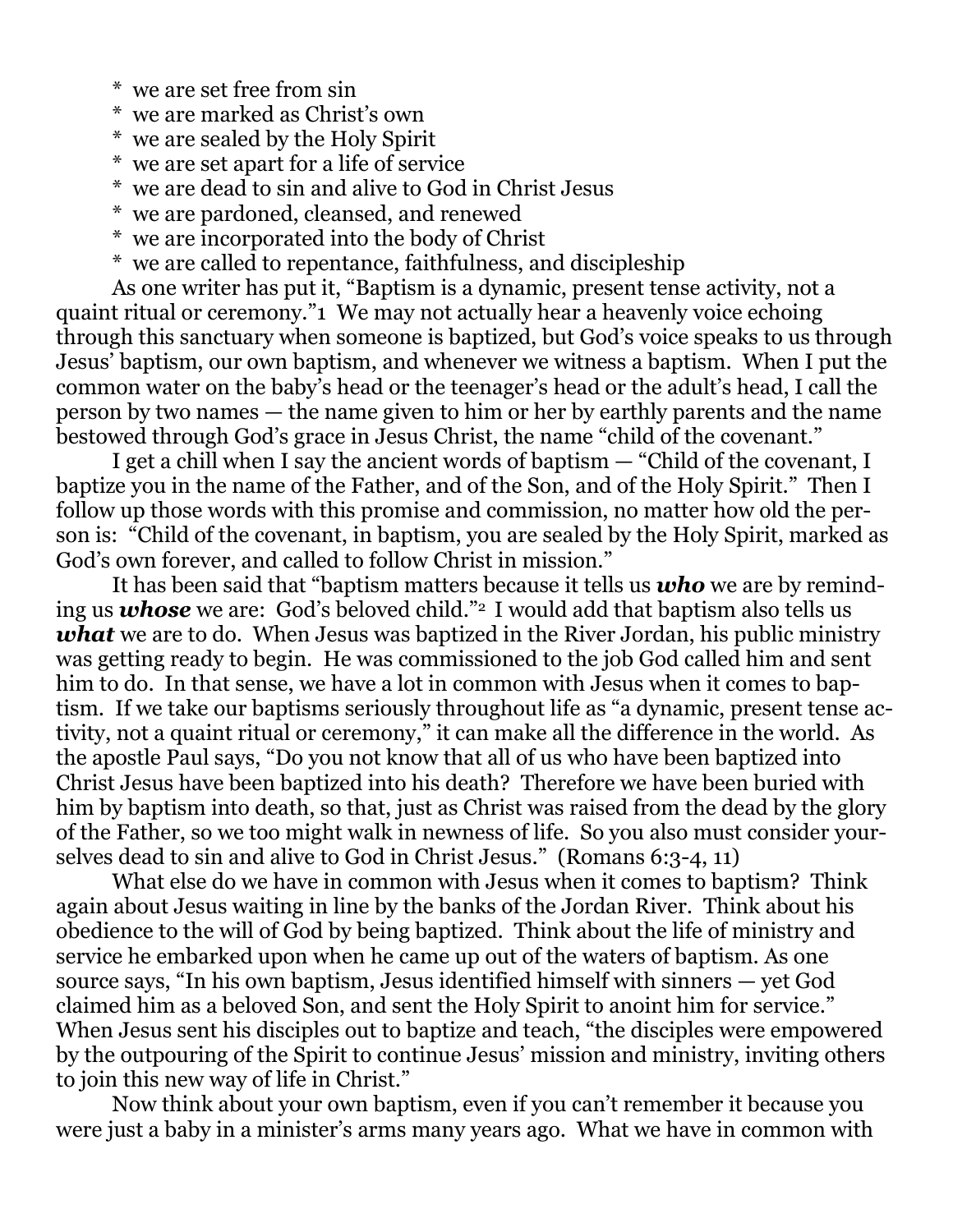- \* we are set free from sin
- \* we are marked as Christ's own
- \* we are sealed by the Holy Spirit
- \* we are set apart for a life of service
- \* we are dead to sin and alive to God in Christ Jesus
- \* we are pardoned, cleansed, and renewed
- \* we are incorporated into the body of Christ
- \* we are called to repentance, faithfulness, and discipleship

As one writer has put it, "Baptism is a dynamic, present tense activity, not a quaint ritual or ceremony."1 We may not actually hear a heavenly voice echoing through this sanctuary when someone is baptized, but God's voice speaks to us through Jesus' baptism, our own baptism, and whenever we witness a baptism. When I put the common water on the baby's head or the teenager's head or the adult's head, I call the person by two names — the name given to him or her by earthly parents and the name bestowed through God's grace in Jesus Christ, the name "child of the covenant."

I get a chill when I say the ancient words of baptism — "Child of the covenant, I baptize you in the name of the Father, and of the Son, and of the Holy Spirit." Then I follow up those words with this promise and commission, no matter how old the person is: "Child of the covenant, in baptism, you are sealed by the Holy Spirit, marked as God's own forever, and called to follow Christ in mission."

It has been said that "baptism matters because it tells us *who* we are by reminding us **whose** we are: God's beloved child."<sup>2</sup> I would add that baptism also tells us *what* we are to do. When Jesus was baptized in the River Jordan, his public ministry was getting ready to begin. He was commissioned to the job God called him and sent him to do. In that sense, we have a lot in common with Jesus when it comes to baptism. If we take our baptisms seriously throughout life as "a dynamic, present tense activity, not a quaint ritual or ceremony," it can make all the difference in the world. As the apostle Paul says, "Do you not know that all of us who have been baptized into Christ Jesus have been baptized into his death? Therefore we have been buried with him by baptism into death, so that, just as Christ was raised from the dead by the glory of the Father, so we too might walk in newness of life. So you also must consider yourselves dead to sin and alive to God in Christ Jesus." (Romans 6:3-4, 11)

What else do we have in common with Jesus when it comes to baptism? Think again about Jesus waiting in line by the banks of the Jordan River. Think about his obedience to the will of God by being baptized. Think about the life of ministry and service he embarked upon when he came up out of the waters of baptism. As one source says, "In his own baptism, Jesus identified himself with sinners — yet God claimed him as a beloved Son, and sent the Holy Spirit to anoint him for service." When Jesus sent his disciples out to baptize and teach, "the disciples were empowered by the outpouring of the Spirit to continue Jesus' mission and ministry, inviting others to join this new way of life in Christ."

Now think about your own baptism, even if you can't remember it because you were just a baby in a minister's arms many years ago. What we have in common with